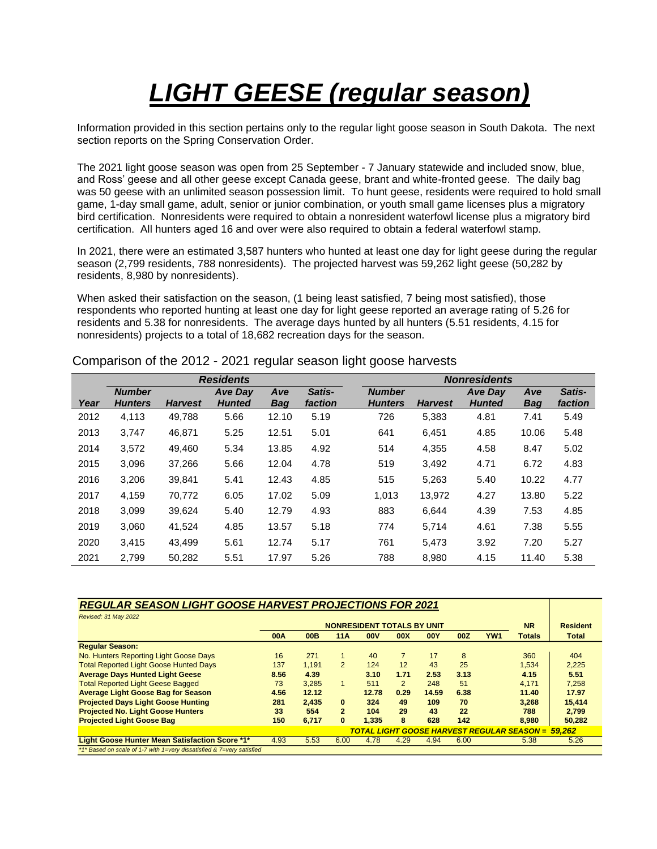## *LIGHT GEESE (regular season)*

Information provided in this section pertains only to the regular light goose season in South Dakota. The next section reports on the Spring Conservation Order.

The 2021 light goose season was open from 25 September - 7 January statewide and included snow, blue, and Ross' geese and all other geese except Canada geese, brant and white-fronted geese. The daily bag was 50 geese with an unlimited season possession limit. To hunt geese, residents were required to hold small game, 1-day small game, adult, senior or junior combination, or youth small game licenses plus a migratory bird certification. Nonresidents were required to obtain a nonresident waterfowl license plus a migratory bird certification. All hunters aged 16 and over were also required to obtain a federal waterfowl stamp.

In 2021, there were an estimated 3,587 hunters who hunted at least one day for light geese during the regular season (2,799 residents, 788 nonresidents). The projected harvest was 59,262 light geese (50,282 by residents, 8,980 by nonresidents).

When asked their satisfaction on the season, (1 being least satisfied, 7 being most satisfied), those respondents who reported hunting at least one day for light geese reported an average rating of 5.26 for residents and 5.38 for nonresidents. The average days hunted by all hunters (5.51 residents, 4.15 for nonresidents) projects to a total of 18,682 recreation days for the season.

|      | <b>Residents</b>                |                |                                 |                   |                   |  | <b>Nonresidents</b>             |                |                                 |                   |                   |  |  |
|------|---------------------------------|----------------|---------------------------------|-------------------|-------------------|--|---------------------------------|----------------|---------------------------------|-------------------|-------------------|--|--|
| Year | <b>Number</b><br><b>Hunters</b> | <b>Harvest</b> | <b>Ave Day</b><br><b>Hunted</b> | Ave<br><b>Bag</b> | Satis-<br>faction |  | <b>Number</b><br><b>Hunters</b> | <b>Harvest</b> | <b>Ave Day</b><br><b>Hunted</b> | Ave<br><b>Bag</b> | Satis-<br>faction |  |  |
| 2012 | 4,113                           | 49,788         | 5.66                            | 12.10             | 5.19              |  | 726                             | 5,383          | 4.81                            | 7.41              | 5.49              |  |  |
| 2013 | 3.747                           | 46.871         | 5.25                            | 12.51             | 5.01              |  | 641                             | 6,451          | 4.85                            | 10.06             | 5.48              |  |  |
| 2014 | 3,572                           | 49.460         | 5.34                            | 13.85             | 4.92              |  | 514                             | 4,355          | 4.58                            | 8.47              | 5.02              |  |  |
| 2015 | 3,096                           | 37,266         | 5.66                            | 12.04             | 4.78              |  | 519                             | 3,492          | 4.71                            | 6.72              | 4.83              |  |  |
| 2016 | 3.206                           | 39.841         | 5.41                            | 12.43             | 4.85              |  | 515                             | 5.263          | 5.40                            | 10.22             | 4.77              |  |  |
| 2017 | 4,159                           | 70,772         | 6.05                            | 17.02             | 5.09              |  | 1,013                           | 13.972         | 4.27                            | 13.80             | 5.22              |  |  |
| 2018 | 3,099                           | 39,624         | 5.40                            | 12.79             | 4.93              |  | 883                             | 6,644          | 4.39                            | 7.53              | 4.85              |  |  |
| 2019 | 3.060                           | 41,524         | 4.85                            | 13.57             | 5.18              |  | 774                             | 5,714          | 4.61                            | 7.38              | 5.55              |  |  |
| 2020 | 3,415                           | 43.499         | 5.61                            | 12.74             | 5.17              |  | 761                             | 5,473          | 3.92                            | 7.20              | 5.27              |  |  |
| 2021 | 2.799                           | 50.282         | 5.51                            | 17.97             | 5.26              |  | 788                             | 8.980          | 4.15                            | 11.40             | 5.38              |  |  |

Comparison of the 2012 - 2021 regular season light goose harvests

| <b>REGULAR SEASON LIGHT GOOSE HARVEST PROJECTIONS FOR 2021</b> |
|----------------------------------------------------------------|
|                                                                |
|                                                                |

| Revised: 31 May 2022                                                  |                                                          |            |                |            |                |            |      |           |                 |              |
|-----------------------------------------------------------------------|----------------------------------------------------------|------------|----------------|------------|----------------|------------|------|-----------|-----------------|--------------|
|                                                                       | <b>NONRESIDENT TOTALS BY UNIT</b>                        |            |                |            |                |            |      | <b>NR</b> | <b>Resident</b> |              |
|                                                                       | <b>00A</b>                                               | <b>00B</b> | <b>11A</b>     | <b>00V</b> | 00X            | <b>00Y</b> | 00Z  | YW1       | <b>Totals</b>   | <b>Total</b> |
| <b>Regular Season:</b>                                                |                                                          |            |                |            |                |            |      |           |                 |              |
| No. Hunters Reporting Light Goose Days                                | 16                                                       | 271        | 1.             | 40         | $\overline{7}$ | 17         | 8    |           | 360             | 404          |
| <b>Total Reported Light Goose Hunted Days</b>                         |                                                          | 1.191      | $\overline{2}$ | 124        | 12             | 43         | 25   |           | 1.534           | 2,225        |
| <b>Average Days Hunted Light Geese</b>                                | 8.56                                                     | 4.39       |                | 3.10       | 1.71           | 2.53       | 3.13 |           | 4.15            | 5.51         |
| <b>Total Reported Light Geese Bagged</b>                              | 73                                                       | 3.285      |                | 511        | $\overline{2}$ | 248        | 51   |           | 4.171           | 7.258        |
| <b>Average Light Goose Bag for Season</b>                             | 4.56                                                     | 12.12      |                | 12.78      | 0.29           | 14.59      | 6.38 |           | 11.40           | 17.97        |
| <b>Projected Days Light Goose Hunting</b>                             | 281                                                      | 2.435      | 0              | 324        | 49             | 109        | 70   |           | 3.268           | 15.414       |
| <b>Projected No. Light Goose Hunters</b>                              | 33                                                       | 554        | $\overline{2}$ | 104        | 29             | 43         | 22   |           | 788             | 2.799        |
| <b>Projected Light Goose Bag</b>                                      | 150                                                      | 6.717      | 0              | 1.335      | 8              | 628        | 142  |           | 8.980           | 50,282       |
|                                                                       | <b>TOTAL LIGHT GOOSE HARVEST REGULAR SEASON = 59.262</b> |            |                |            |                |            |      |           |                 |              |
| Light Goose Hunter Mean Satisfaction Score *1*                        | 4.93                                                     | 5.53       | 6.00           | 4.78       | 4.29           | 4.94       | 6.00 |           | 5.38            | 5.26         |
| *1* Based on scale of 1-7 with 1=very dissatisfied & 7=very satisfied |                                                          |            |                |            |                |            |      |           |                 |              |